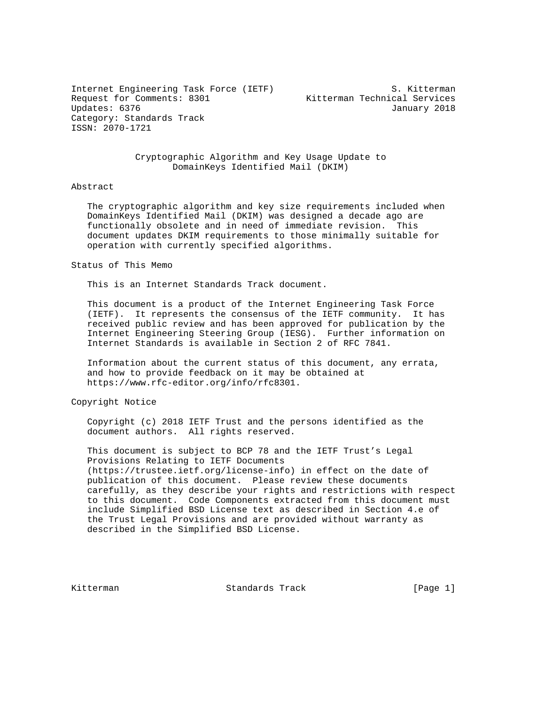Internet Engineering Task Force (IETF) S. Kitterman Request for Comments: 8301 Kitterman Technical Services Updates: 6376 January 2018 Category: Standards Track ISSN: 2070-1721

### Cryptographic Algorithm and Key Usage Update to DomainKeys Identified Mail (DKIM)

### Abstract

 The cryptographic algorithm and key size requirements included when DomainKeys Identified Mail (DKIM) was designed a decade ago are functionally obsolete and in need of immediate revision. This document updates DKIM requirements to those minimally suitable for operation with currently specified algorithms.

Status of This Memo

This is an Internet Standards Track document.

 This document is a product of the Internet Engineering Task Force (IETF). It represents the consensus of the IETF community. It has received public review and has been approved for publication by the Internet Engineering Steering Group (IESG). Further information on Internet Standards is available in Section 2 of RFC 7841.

 Information about the current status of this document, any errata, and how to provide feedback on it may be obtained at https://www.rfc-editor.org/info/rfc8301.

Copyright Notice

 Copyright (c) 2018 IETF Trust and the persons identified as the document authors. All rights reserved.

 This document is subject to BCP 78 and the IETF Trust's Legal Provisions Relating to IETF Documents (https://trustee.ietf.org/license-info) in effect on the date of publication of this document. Please review these documents carefully, as they describe your rights and restrictions with respect to this document. Code Components extracted from this document must include Simplified BSD License text as described in Section 4.e of the Trust Legal Provisions and are provided without warranty as described in the Simplified BSD License.

Kitterman Standards Track [Page 1]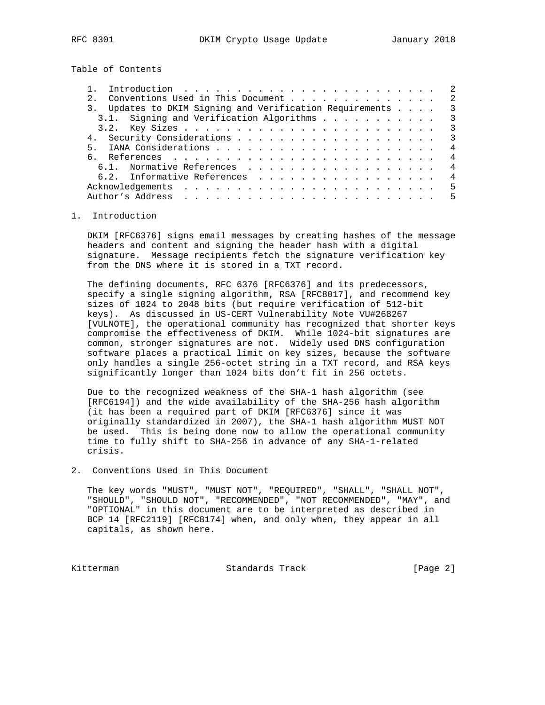Table of Contents

| Introduction $\ldots \ldots \ldots \ldots \ldots \ldots \ldots \ldots$ |                |
|------------------------------------------------------------------------|----------------|
|                                                                        | 2              |
| 3. Updates to DKIM Signing and Verification Requirements               | $\mathcal{R}$  |
| 3.1. Signing and Verification Algorithms                               | $\mathcal{R}$  |
|                                                                        | $\mathcal{R}$  |
|                                                                        | $\overline{3}$ |
| 5.                                                                     | 4              |
|                                                                        | 4              |
| 6.1. Normative References                                              | 4              |
| 6.2. Informative References                                            | $\overline{4}$ |
|                                                                        | 5              |
| Author's Address                                                       | 5              |
|                                                                        |                |

### 1. Introduction

 DKIM [RFC6376] signs email messages by creating hashes of the message headers and content and signing the header hash with a digital signature. Message recipients fetch the signature verification key from the DNS where it is stored in a TXT record.

 The defining documents, RFC 6376 [RFC6376] and its predecessors, specify a single signing algorithm, RSA [RFC8017], and recommend key sizes of 1024 to 2048 bits (but require verification of 512-bit keys). As discussed in US-CERT Vulnerability Note VU#268267 [VULNOTE], the operational community has recognized that shorter keys compromise the effectiveness of DKIM. While 1024-bit signatures are common, stronger signatures are not. Widely used DNS configuration software places a practical limit on key sizes, because the software only handles a single 256-octet string in a TXT record, and RSA keys significantly longer than 1024 bits don't fit in 256 octets.

 Due to the recognized weakness of the SHA-1 hash algorithm (see [RFC6194]) and the wide availability of the SHA-256 hash algorithm (it has been a required part of DKIM [RFC6376] since it was originally standardized in 2007), the SHA-1 hash algorithm MUST NOT be used. This is being done now to allow the operational community time to fully shift to SHA-256 in advance of any SHA-1-related crisis.

2. Conventions Used in This Document

 The key words "MUST", "MUST NOT", "REQUIRED", "SHALL", "SHALL NOT", "SHOULD", "SHOULD NOT", "RECOMMENDED", "NOT RECOMMENDED", "MAY", and "OPTIONAL" in this document are to be interpreted as described in BCP 14 [RFC2119] [RFC8174] when, and only when, they appear in all capitals, as shown here.

Kitterman **Standards Track** (Page 2)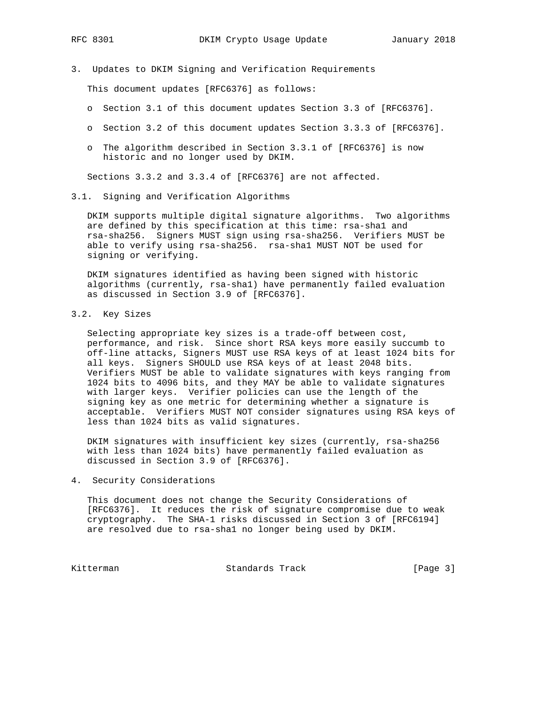- 
- 3. Updates to DKIM Signing and Verification Requirements

This document updates [RFC6376] as follows:

- o Section 3.1 of this document updates Section 3.3 of [RFC6376].
- o Section 3.2 of this document updates Section 3.3.3 of [RFC6376].
- o The algorithm described in Section 3.3.1 of [RFC6376] is now historic and no longer used by DKIM.

Sections 3.3.2 and 3.3.4 of [RFC6376] are not affected.

3.1. Signing and Verification Algorithms

 DKIM supports multiple digital signature algorithms. Two algorithms are defined by this specification at this time: rsa-sha1 and rsa-sha256. Signers MUST sign using rsa-sha256. Verifiers MUST be able to verify using rsa-sha256. rsa-sha1 MUST NOT be used for signing or verifying.

 DKIM signatures identified as having been signed with historic algorithms (currently, rsa-sha1) have permanently failed evaluation as discussed in Section 3.9 of [RFC6376].

3.2. Key Sizes

 Selecting appropriate key sizes is a trade-off between cost, performance, and risk. Since short RSA keys more easily succumb to off-line attacks, Signers MUST use RSA keys of at least 1024 bits for all keys. Signers SHOULD use RSA keys of at least 2048 bits. Verifiers MUST be able to validate signatures with keys ranging from 1024 bits to 4096 bits, and they MAY be able to validate signatures with larger keys. Verifier policies can use the length of the signing key as one metric for determining whether a signature is acceptable. Verifiers MUST NOT consider signatures using RSA keys of less than 1024 bits as valid signatures.

 DKIM signatures with insufficient key sizes (currently, rsa-sha256 with less than 1024 bits) have permanently failed evaluation as discussed in Section 3.9 of [RFC6376].

4. Security Considerations

 This document does not change the Security Considerations of [RFC6376]. It reduces the risk of signature compromise due to weak cryptography. The SHA-1 risks discussed in Section 3 of [RFC6194] are resolved due to rsa-sha1 no longer being used by DKIM.

Kitterman Standards Track [Page 3]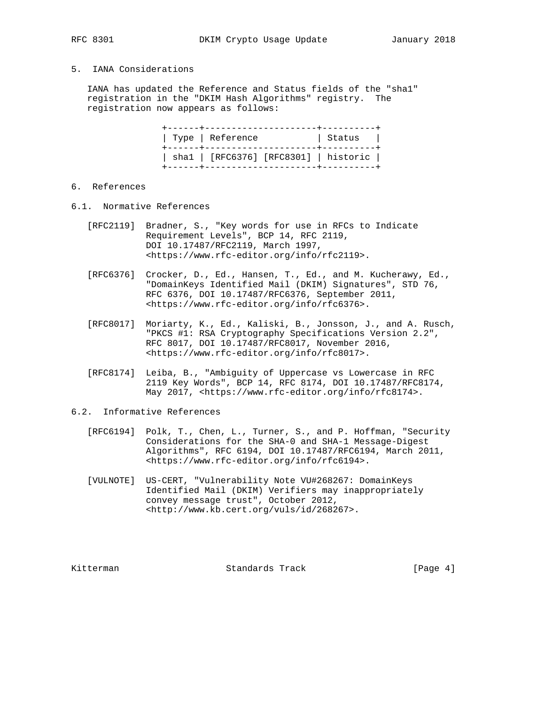# 5. IANA Considerations

 IANA has updated the Reference and Status fields of the "sha1" registration in the "DKIM Hash Algorithms" registry. The registration now appears as follows:

| Type   Reference                      | Status |  |
|---------------------------------------|--------|--|
| shal   [RFC6376] [RFC8301]   historic |        |  |

## 6. References

- 6.1. Normative References
	- [RFC2119] Bradner, S., "Key words for use in RFCs to Indicate Requirement Levels", BCP 14, RFC 2119, DOI 10.17487/RFC2119, March 1997, <https://www.rfc-editor.org/info/rfc2119>.
	- [RFC6376] Crocker, D., Ed., Hansen, T., Ed., and M. Kucherawy, Ed., "DomainKeys Identified Mail (DKIM) Signatures", STD 76, RFC 6376, DOI 10.17487/RFC6376, September 2011, <https://www.rfc-editor.org/info/rfc6376>.
	- [RFC8017] Moriarty, K., Ed., Kaliski, B., Jonsson, J., and A. Rusch, "PKCS #1: RSA Cryptography Specifications Version 2.2", RFC 8017, DOI 10.17487/RFC8017, November 2016, <https://www.rfc-editor.org/info/rfc8017>.
	- [RFC8174] Leiba, B., "Ambiguity of Uppercase vs Lowercase in RFC 2119 Key Words", BCP 14, RFC 8174, DOI 10.17487/RFC8174, May 2017, <https://www.rfc-editor.org/info/rfc8174>.

### 6.2. Informative References

- [RFC6194] Polk, T., Chen, L., Turner, S., and P. Hoffman, "Security Considerations for the SHA-0 and SHA-1 Message-Digest Algorithms", RFC 6194, DOI 10.17487/RFC6194, March 2011, <https://www.rfc-editor.org/info/rfc6194>.
- [VULNOTE] US-CERT, "Vulnerability Note VU#268267: DomainKeys Identified Mail (DKIM) Verifiers may inappropriately convey message trust", October 2012, <http://www.kb.cert.org/vuls/id/268267>.

Kitterman Standards Track [Page 4]